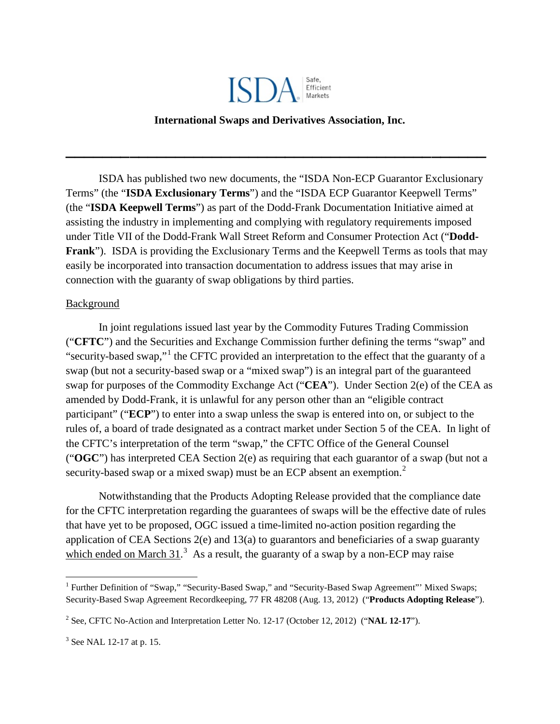

## **International Swaps and Derivatives Association, Inc.**

**\_\_\_\_\_\_\_\_\_\_\_\_\_\_\_\_\_\_\_\_\_\_\_\_\_\_\_\_\_\_\_\_\_\_\_\_\_\_\_\_\_\_\_\_\_\_**

ISDA has published two new documents, the "ISDA Non-ECP Guarantor Exclusionary Terms" (the "**ISDA Exclusionary Terms**") and the "ISDA ECP Guarantor Keepwell Terms" (the "**ISDA Keepwell Terms**") as part of the Dodd-Frank Documentation Initiative aimed at assisting the industry in implementing and complying with regulatory requirements imposed under Title VII of the Dodd-Frank Wall Street Reform and Consumer Protection Act ("**Dodd-Frank**"). ISDA is providing the Exclusionary Terms and the Keepwell Terms as tools that may easily be incorporated into transaction documentation to address issues that may arise in connection with the guaranty of swap obligations by third parties.

## Background

In joint regulations issued last year by the Commodity Futures Trading Commission ("**CFTC**") and the Securities and Exchange Commission further defining the terms "swap" and "security-based swap,"<sup>[1](#page-0-0)</sup> the CFTC provided an interpretation to the effect that the guaranty of a swap (but not a security-based swap or a "mixed swap") is an integral part of the guaranteed swap for purposes of the Commodity Exchange Act ("**CEA**"). Under Section 2(e) of the CEA as amended by Dodd-Frank, it is unlawful for any person other than an "eligible contract participant" ("**ECP**") to enter into a swap unless the swap is entered into on, or subject to the rules of, a board of trade designated as a contract market under Section 5 of the CEA. In light of the CFTC's interpretation of the term "swap," the CFTC Office of the General Counsel ("**OGC**") has interpreted CEA Section 2(e) as requiring that each guarantor of a swap (but not a security-based swap or a mixed swap) must be an ECP absent an exemption.<sup>[2](#page-0-1)</sup>

Notwithstanding that the Products Adopting Release provided that the compliance date for the CFTC interpretation regarding the guarantees of swaps will be the effective date of rules that have yet to be proposed, OGC issued a time-limited no-action position regarding the application of CEA Sections 2(e) and 13(a) to guarantors and beneficiaries of a swap guaranty which ended on March  $31$  $31$ .<sup>3</sup> As a result, the guaranty of a swap by a non-ECP may raise

<span id="page-0-3"></span><span id="page-0-0"></span><sup>&</sup>lt;sup>1</sup> Further Definition of "Swap," "Security-Based Swap," and "Security-Based Swap Agreement"' Mixed Swaps; Security-Based Swap Agreement Recordkeeping, 77 FR 48208 (Aug. 13, 2012) ("**Products Adopting Release**").

<span id="page-0-1"></span><sup>2</sup> See, CFTC No-Action and Interpretation Letter No. 12-17 (October 12, 2012) ("**NAL 12-17**").

<span id="page-0-2"></span> $3$  See NAL 12-17 at p. 15.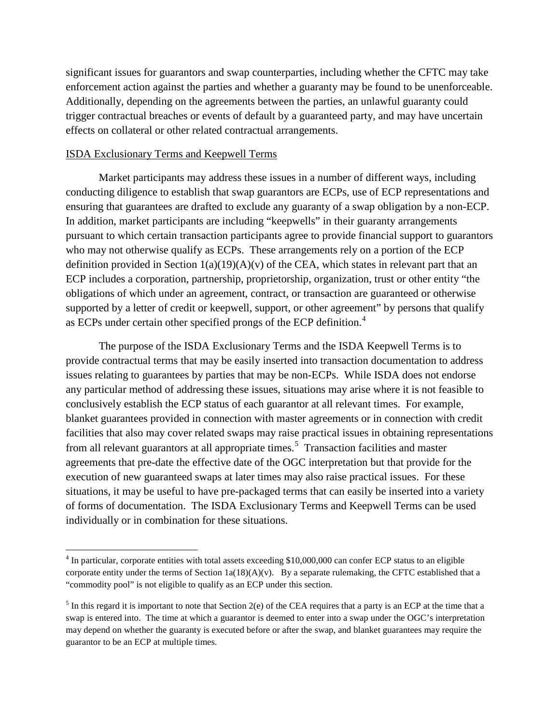significant issues for guarantors and swap counterparties, including whether the CFTC may take enforcement action against the parties and whether a guaranty may be found to be unenforceable. Additionally, depending on the agreements between the parties, an unlawful guaranty could trigger contractual breaches or events of default by a guaranteed party, and may have uncertain effects on collateral or other related contractual arrangements.

## ISDA Exclusionary Terms and Keepwell Terms

Market participants may address these issues in a number of different ways, including conducting diligence to establish that swap guarantors are ECPs, use of ECP representations and ensuring that guarantees are drafted to exclude any guaranty of a swap obligation by a non-ECP. In addition, market participants are including "keepwells" in their guaranty arrangements pursuant to which certain transaction participants agree to provide financial support to guarantors who may not otherwise qualify as ECPs. These arrangements rely on a portion of the ECP definition provided in Section  $1(a)(19)(A)(v)$  of the CEA, which states in relevant part that an ECP includes a corporation, partnership, proprietorship, organization, trust or other entity "the obligations of which under an agreement, contract, or transaction are guaranteed or otherwise supported by a letter of credit or keepwell, support, or other agreement" by persons that qualify as ECPs under certain other specified prongs of the ECP definition. $4$ 

The purpose of the ISDA Exclusionary Terms and the ISDA Keepwell Terms is to provide contractual terms that may be easily inserted into transaction documentation to address issues relating to guarantees by parties that may be non-ECPs. While ISDA does not endorse any particular method of addressing these issues, situations may arise where it is not feasible to conclusively establish the ECP status of each guarantor at all relevant times. For example, blanket guarantees provided in connection with master agreements or in connection with credit facilities that also may cover related swaps may raise practical issues in obtaining representations from all relevant guarantors at all appropriate times.<sup>[5](#page-1-0)</sup> Transaction facilities and master agreements that pre-date the effective date of the OGC interpretation but that provide for the execution of new guaranteed swaps at later times may also raise practical issues. For these situations, it may be useful to have pre-packaged terms that can easily be inserted into a variety of forms of documentation. The ISDA Exclusionary Terms and Keepwell Terms can be used individually or in combination for these situations.

<sup>&</sup>lt;sup>4</sup> In particular, corporate entities with total assets exceeding \$10,000,000 can confer ECP status to an eligible corporate entity under the terms of Section 1a(18)(A)(v). By a separate rulemaking, the CFTC established that a "commodity pool" is not eligible to qualify as an ECP under this section.

<span id="page-1-0"></span> $<sup>5</sup>$  In this regard it is important to note that Section 2(e) of the CEA requires that a party is an ECP at the time that a</sup> swap is entered into. The time at which a guarantor is deemed to enter into a swap under the OGC's interpretation may depend on whether the guaranty is executed before or after the swap, and blanket guarantees may require the guarantor to be an ECP at multiple times.